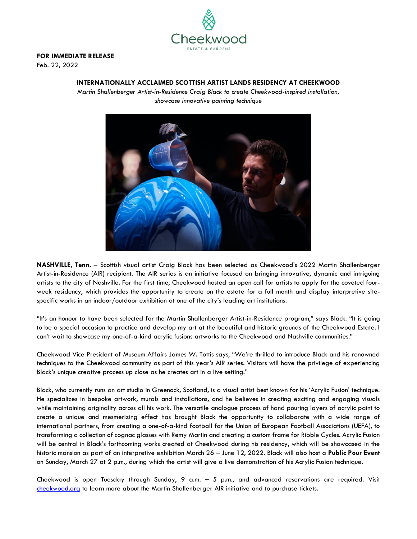

## **FOR IMMEDIATE RELEASE**

Feb. 22, 2022

## **INTERNATIONALLY ACCLAIMED SCOTTISH ARTIST LANDS RESIDENCY AT CHEEKWOOD**

*Martin Shallenberger Artist-in-Residence Craig Black to create Cheekwood-inspired installation, showcase innovative painting technique*



**NASHVILLE, Tenn.** – Scottish visual artist Craig Black has been selected as Cheekwood's 2022 Martin Shallenberger Artist-in-Residence (AIR) recipient. The AIR series is an initiative focused on bringing innovative, dynamic and intriguing artists to the city of Nashville. For the first time, Cheekwood hosted an open call for artists to apply for the coveted fourweek residency, which provides the opportunity to create on the estate for a full month and display interpretive sitespecific works in an indoor/outdoor exhibition at one of the city's leading art institutions.

"It's an honour to have been selected for the Martin Shallenberger Artist-in-Residence program," says Black. "It is going to be a special occasion to practice and develop my art at the beautiful and historic grounds of the Cheekwood Estate. I can't wait to showcase my one-of-a-kind acrylic fusions artworks to the Cheekwood and Nashville communities."

Cheekwood Vice President of Museum Affairs James W. Tottis says, "We're thrilled to introduce Black and his renowned techniques to the Cheekwood community as part of this year's AIR series. Visitors will have the privilege of experiencing Black's unique creative process up close as he creates art in a live setting."

Black, who currently runs an art studio in Greenock, Scotland, is a visual artist best known for his 'Acrylic Fusion' technique. He specializes in bespoke artwork, murals and installations, and he believes in creating exciting and engaging visuals while maintaining originality across all his work. The versatile analogue process of hand pouring layers of acrylic paint to create a unique and mesmerizing effect has brought Black the opportunity to collaborate with a wide range of international partners, from creating a one-of-a-kind football for the Union of European Football Associations (UEFA), to transforming a collection of cognac glasses with Remy Martin and creating a custom frame for Ribble Cycles. Acrylic Fusion will be central in Black's forthcoming works created at Cheekwood during his residency, which will be showcased in the historic mansion as part of an interpretive exhibition March 26 – June 12, 2022. Black will also host a **Public Pour Event**  on Sunday, March 27 at 2 p.m., during which the artist will give a live demonstration of his Acrylic Fusion technique.

Cheekwood is open Tuesday through Sunday, 9 a.m. – 5 p.m., and advanced reservations are required. Visit [cheekwood.org](http://www.cheekwood.org/) to learn more about the Martin Shallenberger AIR initiative and to purchase tickets.